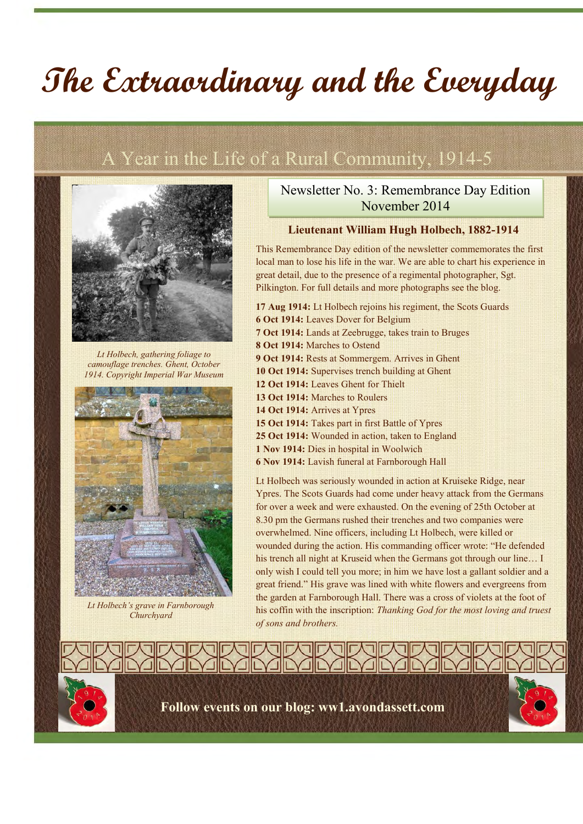# **The Extraordinary and the Everyday**

## A Year in the Life of a Rural Community, 1914-5



*Lt Holbech, gathering foliage to camouflage trenches. Ghent, October 1914. Copyright Imperial War Museum*



*Lt Holbech's grave in Farnborough Churchyard*

Newsletter No. 3: Remembrance Day Edition November 2014

#### **Lieutenant William Hugh Holbech, 1882-1914**

This Remembrance Day edition of the newsletter commemorates the first local man to lose his life in the war. We are able to chart his experience in great detail, due to the presence of a regimental photographer, Sgt. Pilkington. For full details and more photographs see the blog.

**17 Aug 1914:** Lt Holbech rejoins his regiment, the Scots Guards **6 Oct 1914:** Leaves Dover for Belgium **7 Oct 1914:** Lands at Zeebrugge, takes train to Bruges **8 Oct 1914:** Marches to Ostend **9 Oct 1914:** Rests at Sommergem. Arrives in Ghent **10 Oct 1914:** Supervises trench building at Ghent **12 Oct 1914:** Leaves Ghent for Thielt **13 Oct 1914:** Marches to Roulers **14 Oct 1914:** Arrives at Ypres 15 Oct 1914: Takes part in first Battle of Ypres **25 Oct 1914:** Wounded in action, taken to England **1 Nov 1914:** Dies in hospital in Woolwich **6 Nov 1914:** Lavish funeral at Farnborough Hall Lt Holbech was seriously wounded in action at Kruiseke Ridge, near

Ypres. The Scots Guards had come under heavy attack from the Germans for over a week and were exhausted. On the evening of 25th October at 8.30 pm the Germans rushed their trenches and two companies were overwhelmed. Nine officers, including Lt Holbech, were killed or wounded during the action. His commanding officer wrote: "He defended his trench all night at Kruseid when the Germans got through our line... I only wish I could tell you more; in him we have lost a gallant soldier and a great friend." His grave was lined with white flowers and evergreens from the garden at Farnborough Hall. There was a cross of violets at the foot of his coffin with the inscription: *Thanking God for the most loving and truest of sons and brothers.*

**Follow events on our blog: ww1.avondassett.com**